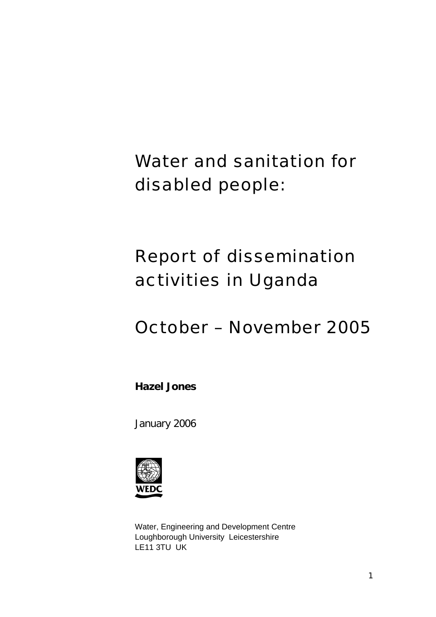Water and sanitation for disabled people:

# Report of dissemination activities in Uganda

## October – November 2005

**Hazel Jones** 

January 2006



Water, Engineering and Development Centre Loughborough University Leicestershire LE11 3TU UK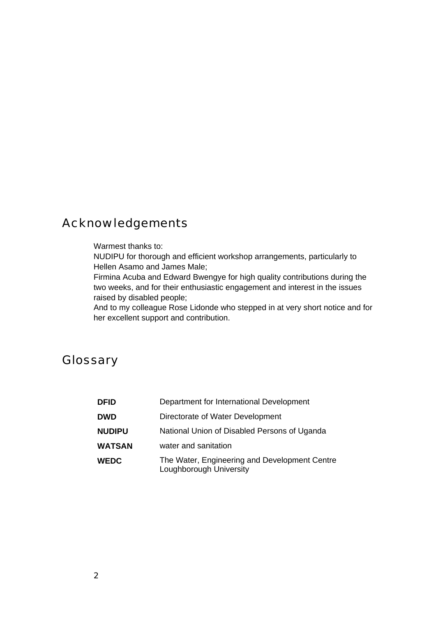## Acknowledgements

#### Warmest thanks to:

NUDIPU for thorough and efficient workshop arrangements, particularly to Hellen Asamo and James Male;

Firmina Acuba and Edward Bwengye for high quality contributions during the two weeks, and for their enthusiastic engagement and interest in the issues raised by disabled people;

And to my colleague Rose Lidonde who stepped in at very short notice and for her excellent support and contribution.

## **Glossary**

| <b>DFID</b>   | Department for International Development                                 |  |  |
|---------------|--------------------------------------------------------------------------|--|--|
| <b>DWD</b>    | Directorate of Water Development                                         |  |  |
| <b>NUDIPU</b> | National Union of Disabled Persons of Uganda                             |  |  |
| <b>WATSAN</b> | water and sanitation                                                     |  |  |
| <b>WEDC</b>   | The Water, Engineering and Development Centre<br>Loughborough University |  |  |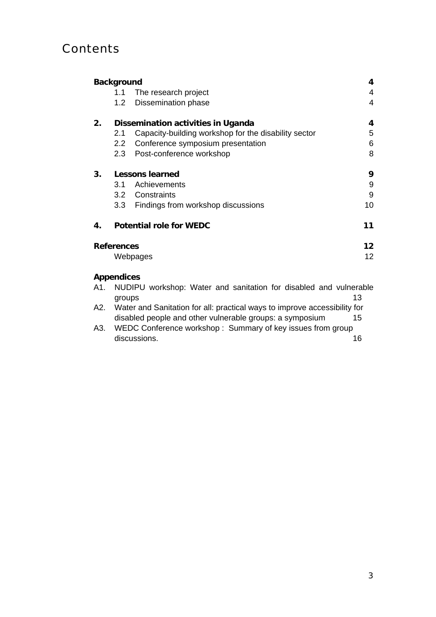## **Contents**

|                                      | 4<br><b>Background</b>             |                                                                           |                 |  |  |
|--------------------------------------|------------------------------------|---------------------------------------------------------------------------|-----------------|--|--|
|                                      | 1.1                                | The research project                                                      | 4               |  |  |
|                                      | 1.2                                | Dissemination phase                                                       | 4               |  |  |
| 2.                                   | Dissemination activities in Uganda |                                                                           |                 |  |  |
|                                      | 2.1                                | Capacity-building workshop for the disability sector                      | 5               |  |  |
|                                      | 2.2                                | Conference symposium presentation                                         | 6               |  |  |
|                                      | 2.3                                | Post-conference workshop                                                  | 8               |  |  |
| 3.                                   | 9<br><b>Lessons learned</b>        |                                                                           |                 |  |  |
|                                      | 3.1                                | Achievements                                                              | 9               |  |  |
|                                      |                                    | 3.2 Constraints                                                           | 9               |  |  |
|                                      | 3.3                                | Findings from workshop discussions                                        | 10              |  |  |
| 4.                                   |                                    | <b>Potential role for WEDC</b>                                            | 11              |  |  |
| 12 <sup>1</sup><br><b>References</b> |                                    |                                                                           |                 |  |  |
|                                      |                                    | Webpages                                                                  | 12 <sup>2</sup> |  |  |
|                                      | <b>Appendices</b>                  |                                                                           |                 |  |  |
| A1.                                  | groups                             | NUDIPU workshop: Water and sanitation for disabled and vulnerable         | 13              |  |  |
| A2.                                  |                                    | Water and Sanitation for all: practical ways to improve accessibility for |                 |  |  |

disabled people and other vulnerable groups: a symposium 15

A3. WEDC Conference workshop : Summary of key issues from group discussions. 16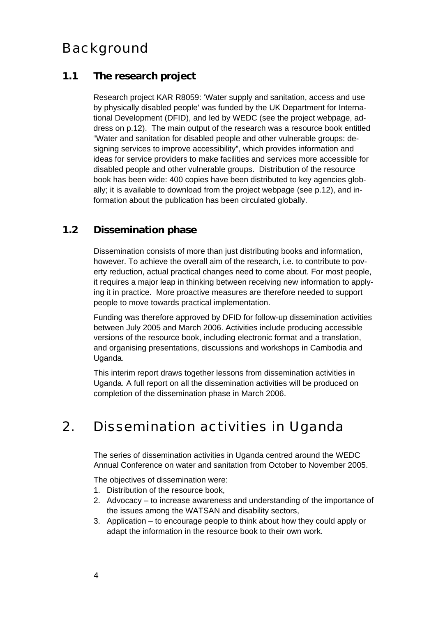## Background

## **1.1 The research project**

Research project KAR R8059: 'Water supply and sanitation, access and use by physically disabled people' was funded by the UK Department for International Development (DFID), and led by WEDC (see the project webpage, address on p.12). The main output of the research was a resource book entitled "Water and sanitation for disabled people and other vulnerable groups: designing services to improve accessibility", which provides information and ideas for service providers to make facilities and services more accessible for disabled people and other vulnerable groups. Distribution of the resource book has been wide: 400 copies have been distributed to key agencies globally; it is available to download from the project webpage (see p.12), and information about the publication has been circulated globally.

## **1.2 Dissemination phase**

Dissemination consists of more than just distributing books and information, however. To achieve the overall aim of the research, i.e. to contribute to poverty reduction, actual practical changes need to come about. For most people, it requires a major leap in thinking between receiving new information to applying it in practice. More proactive measures are therefore needed to support people to move towards practical implementation.

Funding was therefore approved by DFID for follow-up dissemination activities between July 2005 and March 2006. Activities include producing accessible versions of the resource book, including electronic format and a translation, and organising presentations, discussions and workshops in Cambodia and Uganda.

This interim report draws together lessons from dissemination activities in Uganda. A full report on all the dissemination activities will be produced on completion of the dissemination phase in March 2006.

## 2. Dissemination activities in Uganda

The series of dissemination activities in Uganda centred around the WEDC Annual Conference on water and sanitation from October to November 2005.

The objectives of dissemination were:

- 1. Distribution of the resource book,
- 2. Advocacy to increase awareness and understanding of the importance of the issues among the WATSAN and disability sectors,
- 3. Application to encourage people to think about how they could apply or adapt the information in the resource book to their own work.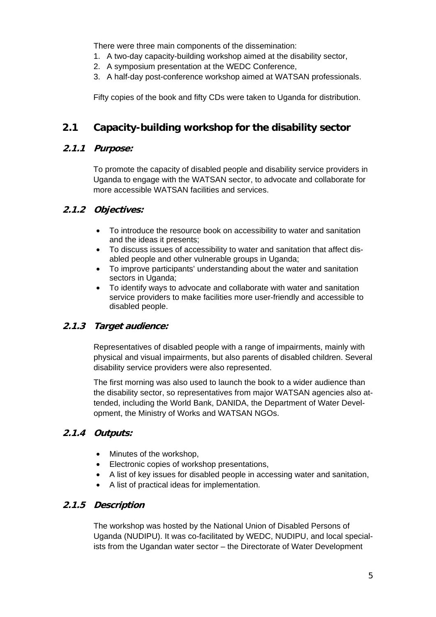There were three main components of the dissemination:

- 1. A two-day capacity-building workshop aimed at the disability sector,
- 2. A symposium presentation at the WEDC Conference,
- 3. A half-day post-conference workshop aimed at WATSAN professionals.

Fifty copies of the book and fifty CDs were taken to Uganda for distribution.

## **2.1 Capacity-building workshop for the disability sector**

#### **2.1.1 Purpose:**

To promote the capacity of disabled people and disability service providers in Uganda to engage with the WATSAN sector, to advocate and collaborate for more accessible WATSAN facilities and services.

#### **2.1.2 Objectives:**

- To introduce the resource book on accessibility to water and sanitation and the ideas it presents;
- To discuss issues of accessibility to water and sanitation that affect disabled people and other vulnerable groups in Uganda;
- To improve participants' understanding about the water and sanitation sectors in Uganda;
- To identify ways to advocate and collaborate with water and sanitation service providers to make facilities more user-friendly and accessible to disabled people.

### **2.1.3 Target audience:**

Representatives of disabled people with a range of impairments, mainly with physical and visual impairments, but also parents of disabled children. Several disability service providers were also represented.

The first morning was also used to launch the book to a wider audience than the disability sector, so representatives from major WATSAN agencies also attended, including the World Bank, DANIDA, the Department of Water Development, the Ministry of Works and WATSAN NGOs.

### **2.1.4 Outputs:**

- Minutes of the workshop,
- Electronic copies of workshop presentations,
- A list of key issues for disabled people in accessing water and sanitation,
- A list of practical ideas for implementation.

#### **2.1.5 Description**

The workshop was hosted by the National Union of Disabled Persons of Uganda (NUDIPU). It was co-facilitated by WEDC, NUDIPU, and local specialists from the Ugandan water sector – the Directorate of Water Development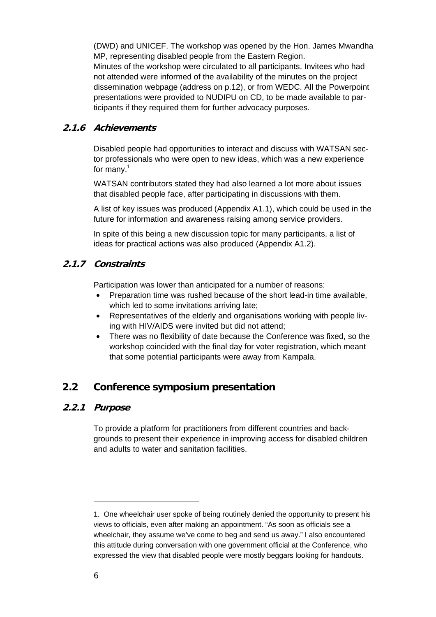(DWD) and UNICEF. The workshop was opened by the Hon. James Mwandha MP, representing disabled people from the Eastern Region. Minutes of the workshop were circulated to all participants. Invitees who had not attended were informed of the availability of the minutes on the project dissemination webpage (address on p.12), or from WEDC. All the Powerpoint presentations were provided to NUDIPU on CD, to be made available to participants if they required them for further advocacy purposes.

#### **2.1.6 Achievements**

Disabled people had opportunities to interact and discuss with WATSAN sector professionals who were open to new ideas, which was a new experience for many.<sup>1</sup>

WATSAN contributors stated they had also learned a lot more about issues that disabled people face, after participating in discussions with them.

A list of key issues was produced (Appendix A1.1), which could be used in the future for information and awareness raising among service providers.

In spite of this being a new discussion topic for many participants, a list of ideas for practical actions was also produced (Appendix A1.2).

#### **2.1.7 Constraints**

Participation was lower than anticipated for a number of reasons:

- Preparation time was rushed because of the short lead-in time available, which led to some invitations arriving late;
- Representatives of the elderly and organisations working with people living with HIV/AIDS were invited but did not attend;
- There was no flexibility of date because the Conference was fixed, so the workshop coincided with the final day for voter registration, which meant that some potential participants were away from Kampala.

### **2.2 Conference symposium presentation**

#### **2.2.1 Purpose**

To provide a platform for practitioners from different countries and backgrounds to present their experience in improving access for disabled children and adults to water and sanitation facilities.

-

<sup>1.</sup> One wheelchair user spoke of being routinely denied the opportunity to present his views to officials, even after making an appointment. "As soon as officials see a wheelchair, they assume we've come to beg and send us away." I also encountered this attitude during conversation with one government official at the Conference, who expressed the view that disabled people were mostly beggars looking for handouts.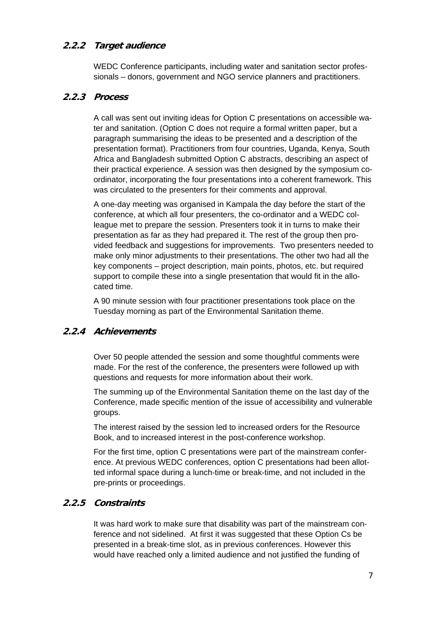### **2.2.2 Target audience**

WEDC Conference participants, including water and sanitation sector professionals – donors, government and NGO service planners and practitioners.

#### **2.2.3 Process**

A call was sent out inviting ideas for Option C presentations on accessible water and sanitation. (Option C does not require a formal written paper, but a paragraph summarising the ideas to be presented and a description of the presentation format). Practitioners from four countries, Uganda, Kenya, South Africa and Bangladesh submitted Option C abstracts, describing an aspect of their practical experience. A session was then designed by the symposium coordinator, incorporating the four presentations into a coherent framework. This was circulated to the presenters for their comments and approval.

A one-day meeting was organised in Kampala the day before the start of the conference, at which all four presenters, the co-ordinator and a WEDC colleague met to prepare the session. Presenters took it in turns to make their presentation as far as they had prepared it. The rest of the group then provided feedback and suggestions for improvements. Two presenters needed to make only minor adjustments to their presentations. The other two had all the key components – project description, main points, photos, etc. but required support to compile these into a single presentation that would fit in the allocated time.

A 90 minute session with four practitioner presentations took place on the Tuesday morning as part of the Environmental Sanitation theme.

### **2.2.4 Achievements**

Over 50 people attended the session and some thoughtful comments were made. For the rest of the conference, the presenters were followed up with questions and requests for more information about their work.

The summing up of the Environmental Sanitation theme on the last day of the Conference, made specific mention of the issue of accessibility and vulnerable groups.

The interest raised by the session led to increased orders for the Resource Book, and to increased interest in the post-conference workshop.

For the first time, option C presentations were part of the mainstream conference. At previous WEDC conferences, option C presentations had been allotted informal space during a lunch-time or break-time, and not included in the pre-prints or proceedings.

### **2.2.5 Constraints**

It was hard work to make sure that disability was part of the mainstream conference and not sidelined. At first it was suggested that these Option Cs be presented in a break-time slot, as in previous conferences. However this would have reached only a limited audience and not justified the funding of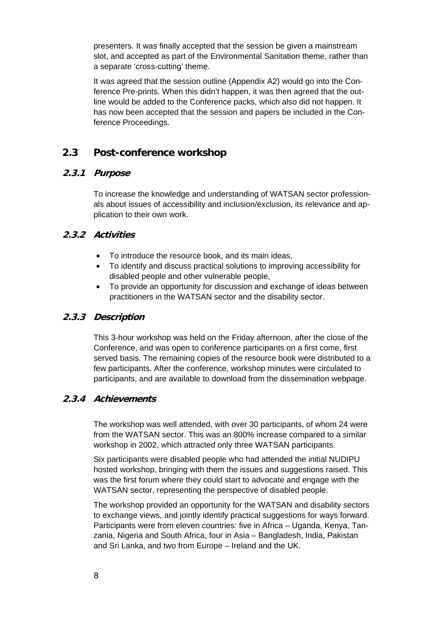presenters. It was finally accepted that the session be given a mainstream slot, and accepted as part of the Environmental Sanitation theme, rather than a separate 'cross-cutting' theme.

It was agreed that the session outline (Appendix A2) would go into the Conference Pre-prints. When this didn't happen, it was then agreed that the outline would be added to the Conference packs, which also did not happen. It has now been accepted that the session and papers be included in the Conference Proceedings.

## **2.3 Post-conference workshop**

#### **2.3.1 Purpose**

To increase the knowledge and understanding of WATSAN sector professionals about issues of accessibility and inclusion/exclusion, its relevance and application to their own work.

#### **2.3.2 Activities**

- To introduce the resource book, and its main ideas,
- To identify and discuss practical solutions to improving accessibility for disabled people and other vulnerable people,
- To provide an opportunity for discussion and exchange of ideas between practitioners in the WATSAN sector and the disability sector.

### **2.3.3 Description**

This 3-hour workshop was held on the Friday afternoon, after the close of the Conference, and was open to conference participants on a first come, first served basis. The remaining copies of the resource book were distributed to a few participants. After the conference, workshop minutes were circulated to participants, and are available to download from the dissemination webpage.

#### **2.3.4 Achievements**

The workshop was well attended, with over 30 participants, of whom 24 were from the WATSAN sector. This was an 800% increase compared to a similar workshop in 2002, which attracted only three WATSAN participants.

Six participants were disabled people who had attended the initial NUDIPU hosted workshop, bringing with them the issues and suggestions raised. This was the first forum where they could start to advocate and engage with the WATSAN sector, representing the perspective of disabled people.

The workshop provided an opportunity for the WATSAN and disability sectors to exchange views, and jointly identify practical suggestions for ways forward. Participants were from eleven countries: five in Africa – Uganda, Kenya, Tanzania, Nigeria and South Africa, four in Asia – Bangladesh, India, Pakistan and Sri Lanka, and two from Europe – Ireland and the UK.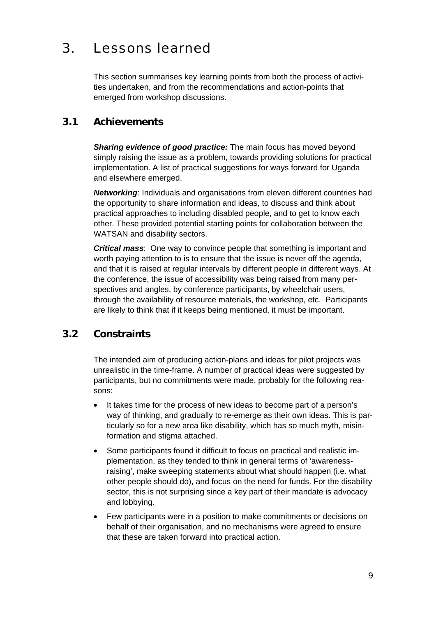## 3. Lessons learned

This section summarises key learning points from both the process of activities undertaken, and from the recommendations and action-points that emerged from workshop discussions.

## **3.1 Achievements**

*Sharing evidence of good practice:* The main focus has moved beyond simply raising the issue as a problem, towards providing solutions for practical implementation. A list of practical suggestions for ways forward for Uganda and elsewhere emerged.

*Networking*: Individuals and organisations from eleven different countries had the opportunity to share information and ideas, to discuss and think about practical approaches to including disabled people, and to get to know each other. These provided potential starting points for collaboration between the WATSAN and disability sectors.

*Critical mass*: One way to convince people that something is important and worth paying attention to is to ensure that the issue is never off the agenda, and that it is raised at regular intervals by different people in different ways. At the conference, the issue of accessibility was being raised from many perspectives and angles, by conference participants, by wheelchair users, through the availability of resource materials, the workshop, etc. Participants are likely to think that if it keeps being mentioned, it must be important.

## **3.2 Constraints**

The intended aim of producing action-plans and ideas for pilot projects was unrealistic in the time-frame. A number of practical ideas were suggested by participants, but no commitments were made, probably for the following reasons:

- It takes time for the process of new ideas to become part of a person's way of thinking, and gradually to re-emerge as their own ideas. This is particularly so for a new area like disability, which has so much myth, misinformation and stigma attached.
- Some participants found it difficult to focus on practical and realistic implementation, as they tended to think in general terms of 'awarenessraising', make sweeping statements about what should happen (i.e. what other people should do), and focus on the need for funds. For the disability sector, this is not surprising since a key part of their mandate is advocacy and lobbying.
- Few participants were in a position to make commitments or decisions on behalf of their organisation, and no mechanisms were agreed to ensure that these are taken forward into practical action.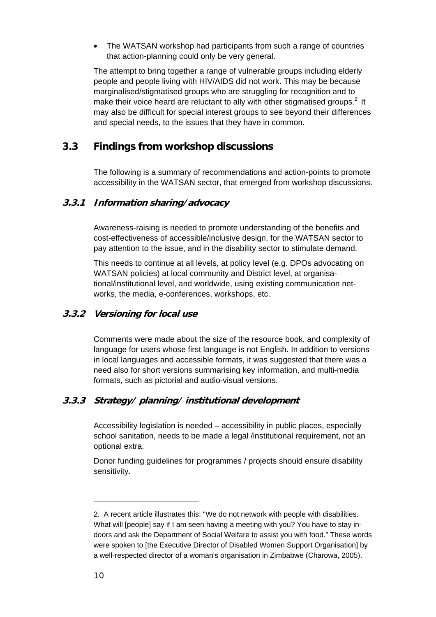• The WATSAN workshop had participants from such a range of countries that action-planning could only be very general.

The attempt to bring together a range of vulnerable groups including elderly people and people living with HIV/AIDS did not work. This may be because marginalised/stigmatised groups who are struggling for recognition and to make their voice heard are reluctant to ally with other stigmatised groups.<sup>2</sup> It may also be difficult for special interest groups to see beyond their differences and special needs, to the issues that they have in common.

## **3.3 Findings from workshop discussions**

The following is a summary of recommendations and action-points to promote accessibility in the WATSAN sector, that emerged from workshop discussions.

#### **3.3.1 Information sharing/advocacy**

Awareness-raising is needed to promote understanding of the benefits and cost-effectiveness of accessible/inclusive design, for the WATSAN sector to pay attention to the issue, and in the disability sector to stimulate demand.

This needs to continue at all levels, at policy level (e.g. DPOs advocating on WATSAN policies) at local community and District level, at organisational/institutional level, and worldwide, using existing communication networks, the media, e-conferences, workshops, etc.

### **3.3.2 Versioning for local use**

Comments were made about the size of the resource book, and complexity of language for users whose first language is not English. In addition to versions in local languages and accessible formats, it was suggested that there was a need also for short versions summarising key information, and multi-media formats, such as pictorial and audio-visual versions.

### **3.3.3 Strategy/ planning/ institutional development**

Accessibility legislation is needed – accessibility in public places, especially school sanitation, needs to be made a legal /institutional requirement, not an optional extra.

Donor funding guidelines for programmes / projects should ensure disability sensitivity.

-

<sup>2.</sup> A recent article illustrates this: "We do not network with people with disabilities. What will [people] say if I am seen having a meeting with you? You have to stay indoors and ask the Department of Social Welfare to assist you with food." These words were spoken to [the Executive Director of Disabled Women Support Organisation] by a well-respected director of a woman's organisation in Zimbabwe (Charowa, 2005).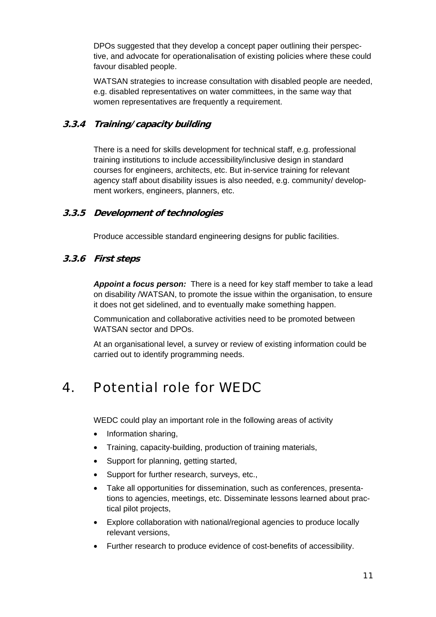DPOs suggested that they develop a concept paper outlining their perspective, and advocate for operationalisation of existing policies where these could favour disabled people.

WATSAN strategies to increase consultation with disabled people are needed, e.g. disabled representatives on water committees, in the same way that women representatives are frequently a requirement.

### **3.3.4 Training/capacity building**

There is a need for skills development for technical staff, e.g. professional training institutions to include accessibility/inclusive design in standard courses for engineers, architects, etc. But in-service training for relevant agency staff about disability issues is also needed, e.g. community/ development workers, engineers, planners, etc.

#### **3.3.5 Development of technologies**

Produce accessible standard engineering designs for public facilities.

#### **3.3.6 First steps**

*Appoint a focus person:* There is a need for key staff member to take a lead on disability /WATSAN, to promote the issue within the organisation, to ensure it does not get sidelined, and to eventually make something happen.

Communication and collaborative activities need to be promoted between WATSAN sector and DPOs.

At an organisational level, a survey or review of existing information could be carried out to identify programming needs.

## 4. Potential role for WEDC

WEDC could play an important role in the following areas of activity

- Information sharing,
- Training, capacity-building, production of training materials,
- Support for planning, getting started,
- Support for further research, surveys, etc.,
- Take all opportunities for dissemination, such as conferences, presentations to agencies, meetings, etc. Disseminate lessons learned about practical pilot projects,
- Explore collaboration with national/regional agencies to produce locally relevant versions,
- Further research to produce evidence of cost-benefits of accessibility.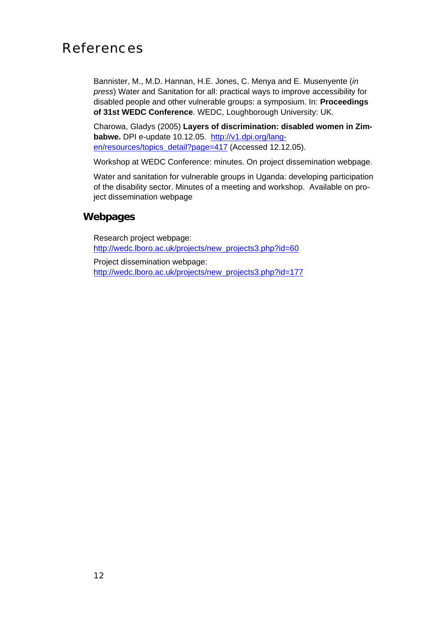## References

Bannister, M., M.D. Hannan, H.E. Jones, C. Menya and E. Musenyente (*in press*) Water and Sanitation for all: practical ways to improve accessibility for disabled people and other vulnerable groups: a symposium. In: **Proceedings of 31st WEDC Conference**. WEDC, Loughborough University: UK.

Charowa, Gladys (2005) **Layers of discrimination: disabled women in Zimbabwe.** DPI e-update 10.12.05. http://v1.dpi.org/langen/resources/topics\_detail?page=417 (Accessed 12.12.05).

Workshop at WEDC Conference: minutes. On project dissemination webpage.

Water and sanitation for vulnerable groups in Uganda: developing participation of the disability sector. Minutes of a meeting and workshop. Available on project dissemination webpage

### **Webpages**

Research project webpage: http://wedc.lboro.ac.uk/projects/new\_projects3.php?id=60

Project dissemination webpage: http://wedc.lboro.ac.uk/projects/new\_projects3.php?id=177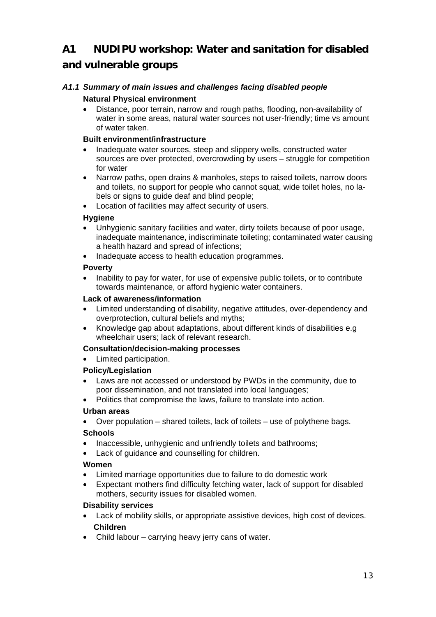## **A1 NUDIPU workshop: Water and sanitation for disabled and vulnerable groups**

#### *A1.1 Summary of main issues and challenges facing disabled people*  **Natural Physical environment**

• Distance, poor terrain, narrow and rough paths, flooding, non-availability of water in some areas, natural water sources not user-friendly; time vs amount of water taken.

#### **Built environment/infrastructure**

- Inadequate water sources, steep and slippery wells, constructed water sources are over protected, overcrowding by users – struggle for competition for water
- Narrow paths, open drains & manholes, steps to raised toilets, narrow doors and toilets, no support for people who cannot squat, wide toilet holes, no labels or signs to guide deaf and blind people;
- Location of facilities may affect security of users.

#### **Hygiene**

- Unhygienic sanitary facilities and water, dirty toilets because of poor usage, inadequate maintenance, indiscriminate toileting; contaminated water causing a health hazard and spread of infections;
- Inadequate access to health education programmes.

#### **Poverty**

• Inability to pay for water, for use of expensive public toilets, or to contribute towards maintenance, or afford hygienic water containers.

#### **Lack of awareness/information**

- Limited understanding of disability, negative attitudes, over-dependency and overprotection, cultural beliefs and myths;
- Knowledge gap about adaptations, about different kinds of disabilities e.g wheelchair users; lack of relevant research.

#### **Consultation/decision-making processes**

• Limited participation.

#### **Policy/Legislation**

- Laws are not accessed or understood by PWDs in the community, due to poor dissemination, and not translated into local languages;
- Politics that compromise the laws, failure to translate into action.

#### **Urban areas**

• Over population – shared toilets, lack of toilets – use of polythene bags.

#### **Schools**

- Inaccessible, unhygienic and unfriendly toilets and bathrooms;
- Lack of guidance and counselling for children.

#### **Women**

- Limited marriage opportunities due to failure to do domestic work
- Expectant mothers find difficulty fetching water, lack of support for disabled mothers, security issues for disabled women.

#### **Disability services**

- Lack of mobility skills, or appropriate assistive devices, high cost of devices. **Children**
- Child labour carrying heavy jerry cans of water.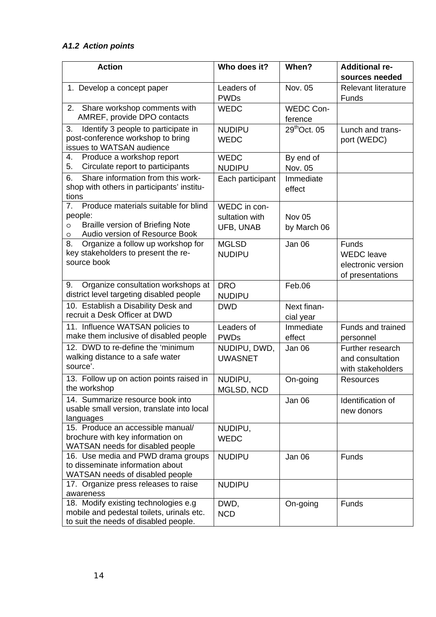## *A1.2 Action points*

| <b>Action</b>                                                                                                                                | Who does it?                                | When?                            | <b>Additional re-</b><br>sources needed                              |
|----------------------------------------------------------------------------------------------------------------------------------------------|---------------------------------------------|----------------------------------|----------------------------------------------------------------------|
| 1. Develop a concept paper                                                                                                                   | Leaders of<br><b>PWDs</b>                   | Nov. 05                          | <b>Relevant literature</b><br>Funds                                  |
| 2. Share workshop comments with<br>AMREF, provide DPO contacts                                                                               | <b>WEDC</b>                                 | <b>WEDC Con-</b><br>ference      |                                                                      |
| Identify 3 people to participate in<br>3.<br>post-conference workshop to bring<br>issues to WATSAN audience                                  | <b>NUDIPU</b><br><b>WEDC</b>                | 29 <sup>th</sup> Oct. 05         | Lunch and trans-<br>port (WEDC)                                      |
| Produce a workshop report<br>4.<br>Circulate report to participants<br>5.                                                                    | <b>WEDC</b><br><b>NUDIPU</b>                | By end of<br>Nov. 05             |                                                                      |
| Share information from this work-<br>6.<br>shop with others in participants' institu-<br>tions                                               | Each participant                            | Immediate<br>effect              |                                                                      |
| Produce materials suitable for blind<br>7.<br>people:<br><b>Braille version of Briefing Note</b><br>O<br>Audio version of Resource Book<br>O | WEDC in con-<br>sultation with<br>UFB, UNAB | Nov <sub>05</sub><br>by March 06 |                                                                      |
| Organize a follow up workshop for<br>8.<br>key stakeholders to present the re-<br>source book                                                | <b>MGLSD</b><br><b>NUDIPU</b>               | Jan 06                           | Funds<br><b>WEDC</b> leave<br>electronic version<br>of presentations |
| Organize consultation workshops at<br>9.<br>district level targeting disabled people                                                         | <b>DRO</b><br><b>NUDIPU</b>                 | Feb.06                           |                                                                      |
| 10. Establish a Disability Desk and<br>recruit a Desk Officer at DWD                                                                         | <b>DWD</b>                                  | Next finan-<br>cial year         |                                                                      |
| 11. Influence WATSAN policies to<br>make them inclusive of disabled people                                                                   | Leaders of<br><b>PWDs</b>                   | Immediate<br>effect              | Funds and trained<br>personnel                                       |
| 12. DWD to re-define the 'minimum<br>walking distance to a safe water<br>source'.                                                            | NUDIPU, DWD,<br><b>UWASNET</b>              | Jan 06                           | Further research<br>and consultation<br>with stakeholders            |
| 13. Follow up on action points raised in<br>the workshop                                                                                     | NUDIPU,<br>MGLSD, NCD                       | On-going                         | Resources                                                            |
| 14. Summarize resource book into<br>usable small version, translate into local<br>languages                                                  |                                             | Jan 06                           | Identification of<br>new donors                                      |
| 15. Produce an accessible manual/<br>brochure with key information on<br>WATSAN needs for disabled people                                    | NUDIPU,<br><b>WEDC</b>                      |                                  |                                                                      |
| 16. Use media and PWD drama groups<br>to disseminate information about<br>WATSAN needs of disabled people                                    | <b>NUDIPU</b>                               | Jan 06                           | Funds                                                                |
| 17. Organize press releases to raise<br>awareness                                                                                            | <b>NUDIPU</b>                               |                                  |                                                                      |
| 18. Modify existing technologies e.g<br>mobile and pedestal toilets, urinals etc.<br>to suit the needs of disabled people.                   | DWD,<br><b>NCD</b>                          | On-going                         | Funds                                                                |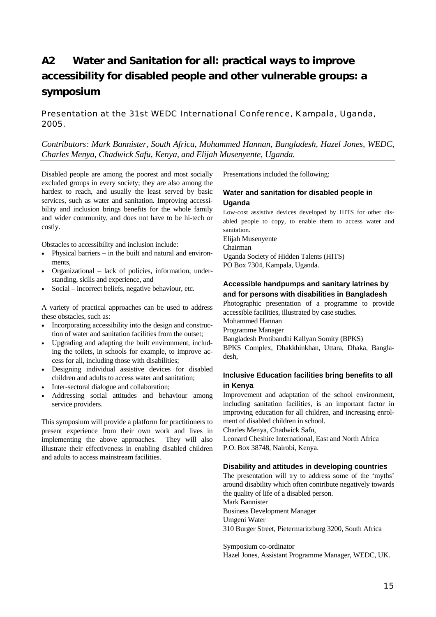## **A2 Water and Sanitation for all: practical ways to improve accessibility for disabled people and other vulnerable groups: a symposium**

#### Presentation at the 31st WEDC International Conference, Kampala, Uganda, 2005.

#### *Contributors: Mark Bannister, South Africa, Mohammed Hannan, Bangladesh, Hazel Jones, WEDC, Charles Menya, Chadwick Safu, Kenya, and Elijah Musenyente, Uganda.*

Disabled people are among the poorest and most socially excluded groups in every society; they are also among the hardest to reach, and usually the least served by basic services, such as water and sanitation. Improving accessibility and inclusion brings benefits for the whole family and wider community, and does not have to be hi-tech or costly.

Obstacles to accessibility and inclusion include:

- Physical barriers  $-$  in the built and natural and environments,
- Organizational lack of policies, information, understanding, skills and experience, and
- Social incorrect beliefs, negative behaviour, etc.

A variety of practical approaches can be used to address these obstacles, such as:

- Incorporating accessibility into the design and construction of water and sanitation facilities from the outset;
- Upgrading and adapting the built environment, including the toilets, in schools for example, to improve access for all, including those with disabilities;
- Designing individual assistive devices for disabled children and adults to access water and sanitation;
- Inter-sectoral dialogue and collaboration;
- Addressing social attitudes and behaviour among service providers.

This symposium will provide a platform for practitioners to present experience from their own work and lives in implementing the above approaches. They will also illustrate their effectiveness in enabling disabled children and adults to access mainstream facilities.

Presentations included the following:

#### **Water and sanitation for disabled people in Uganda**

Low-cost assistive devices developed by HITS for other disabled people to copy, to enable them to access water and sanitation. Elijah Musenyente

Chairman

### Uganda Society of Hidden Talents (HITS)

PO Box 7304, Kampala, Uganda.

#### **Accessible handpumps and sanitary latrines by and for persons with disabilities in Bangladesh**

Photographic presentation of a programme to provide accessible facilities, illustrated by case studies. Mohammed Hannan Programme Manager Bangladesh Protibandhi Kallyan Somity (BPKS) BPKS Complex, Dhakkhinkhan, Uttara, Dhaka, Bangladesh,

#### **Inclusive Education facilities bring benefits to all in Kenya**

Improvement and adaptation of the school environment, including sanitation facilities, is an important factor in improving education for all children, and increasing enrolment of disabled children in school.

Charles Menya, Chadwick Safu,

Leonard Cheshire International, East and North Africa P.O. Box 38748, Nairobi, Kenya.

#### **Disability and attitudes in developing countries**

The presentation will try to address some of the 'myths' around disability which often contribute negatively towards the quality of life of a disabled person. Mark Bannister

Business Development Manager Umgeni Water

310 Burger Street, Pietermaritzburg 3200, South Africa

Symposium co-ordinator Hazel Jones, Assistant Programme Manager, WEDC, UK.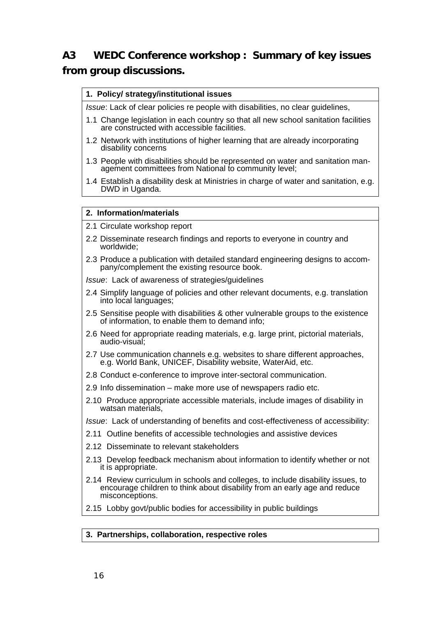## **A3 WEDC Conference workshop : Summary of key issues from group discussions.**

#### **1. Policy/ strategy/institutional issues**

*Issue*: Lack of clear policies re people with disabilities, no clear guidelines,

- 1.1 Change legislation in each country so that all new school sanitation facilities are constructed with accessible facilities.
- 1.2 Network with institutions of higher learning that are already incorporating disability concerns
- 1.3 People with disabilities should be represented on water and sanitation management committees from National to community level;
- 1.4 Establish a disability desk at Ministries in charge of water and sanitation, e.g. DWD in Uganda.

#### **2. Information/materials**

- 2.1 Circulate workshop report
- 2.2 Disseminate research findings and reports to everyone in country and worldwide;
- 2.3 Produce a publication with detailed standard engineering designs to accompany/complement the existing resource book.

*Issue*: Lack of awareness of strategies/guidelines

- 2.4 Simplify language of policies and other relevant documents, e.g. translation into local languages;
- 2.5 Sensitise people with disabilities & other vulnerable groups to the existence of information, to enable them to demand info;
- 2.6 Need for appropriate reading materials, e.g. large print, pictorial materials, audio-visual;
- 2.7 Use communication channels e.g. websites to share different approaches, e.g. World Bank, UNICEF, Disability website, WaterAid, etc.
- 2.8 Conduct e-conference to improve inter-sectoral communication.
- 2.9 Info dissemination make more use of newspapers radio etc.
- 2.10 Produce appropriate accessible materials, include images of disability in watsan materials,

*Issue*: Lack of understanding of benefits and cost-effectiveness of accessibility:

- 2.11 Outline benefits of accessible technologies and assistive devices
- 2.12 Disseminate to relevant stakeholders
- 2.13 Develop feedback mechanism about information to identify whether or not it is appropriate.
- 2.14 Review curriculum in schools and colleges, to include disability issues, to encourage children to think about disability from an early age and reduce misconceptions.
- 2.15 Lobby govt/public bodies for accessibility in public buildings

#### **3. Partnerships, collaboration, respective roles**